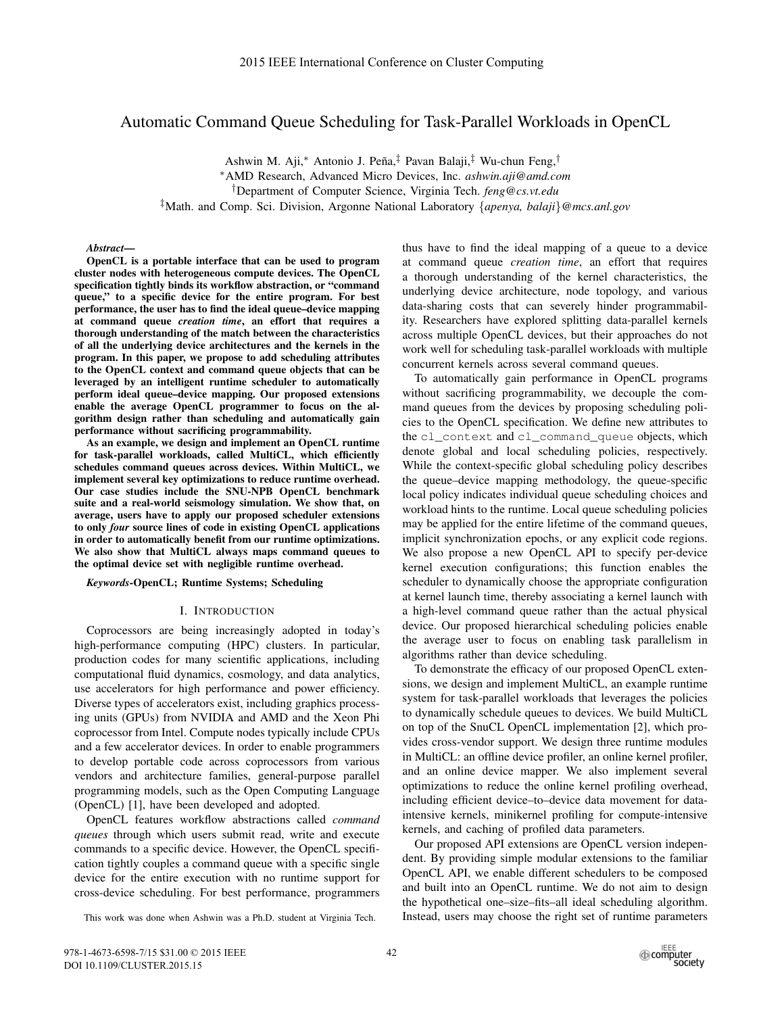# Automatic Command Queue Scheduling for Task-Parallel Workloads in OpenCL

Ashwin M. Aji,<sup>\*</sup> Antonio J. Peña,<sup>‡</sup> Pavan Balaji,<sup>‡</sup> Wu-chun Feng,<sup>†</sup>

∗AMD Research, Advanced Micro Devices, Inc. *ashwin.aji@amd.com*

†Department of Computer Science, Virginia Tech. *feng@cs.vt.edu*

‡Math. and Comp. Sci. Division, Argonne National Laboratory {*apenya, balaji*}*@mcs.anl.gov*

#### *Abstract*—

OpenCL is a portable interface that can be used to program cluster nodes with heterogeneous compute devices. The OpenCL specification tightly binds its workflow abstraction, or "command queue," to a specific device for the entire program. For best performance, the user has to find the ideal queue–device mapping at command queue *creation time*, an effort that requires a thorough understanding of the match between the characteristics of all the underlying device architectures and the kernels in the program. In this paper, we propose to add scheduling attributes to the OpenCL context and command queue objects that can be leveraged by an intelligent runtime scheduler to automatically perform ideal queue–device mapping. Our proposed extensions enable the average OpenCL programmer to focus on the algorithm design rather than scheduling and automatically gain performance without sacrificing programmability.

As an example, we design and implement an OpenCL runtime for task-parallel workloads, called MultiCL, which efficiently schedules command queues across devices. Within MultiCL, we implement several key optimizations to reduce runtime overhead. Our case studies include the SNU-NPB OpenCL benchmark suite and a real-world seismology simulation. We show that, on average, users have to apply our proposed scheduler extensions to only *four* source lines of code in existing OpenCL applications in order to automatically benefit from our runtime optimizations. We also show that MultiCL always maps command queues to the optimal device set with negligible runtime overhead.

#### *Keywords*-OpenCL; Runtime Systems; Scheduling

### I. INTRODUCTION

Coprocessors are being increasingly adopted in today's high-performance computing (HPC) clusters. In particular, production codes for many scientific applications, including computational fluid dynamics, cosmology, and data analytics, use accelerators for high performance and power efficiency. Diverse types of accelerators exist, including graphics processing units (GPUs) from NVIDIA and AMD and the Xeon Phi coprocessor from Intel. Compute nodes typically include CPUs and a few accelerator devices. In order to enable programmers to develop portable code across coprocessors from various vendors and architecture families, general-purpose parallel programming models, such as the Open Computing Language (OpenCL) [1], have been developed and adopted.

OpenCL features workflow abstractions called *command queues* through which users submit read, write and execute commands to a specific device. However, the OpenCL specification tightly couples a command queue with a specific single device for the entire execution with no runtime support for cross-device scheduling. For best performance, programmers thus have to find the ideal mapping of a queue to a device at command queue *creation time*, an effort that requires a thorough understanding of the kernel characteristics, the underlying device architecture, node topology, and various data-sharing costs that can severely hinder programmability. Researchers have explored splitting data-parallel kernels across multiple OpenCL devices, but their approaches do not work well for scheduling task-parallel workloads with multiple concurrent kernels across several command queues.

To automatically gain performance in OpenCL programs without sacrificing programmability, we decouple the command queues from the devices by proposing scheduling policies to the OpenCL specification. We define new attributes to the cl\_context and cl\_command\_queue objects, which denote global and local scheduling policies, respectively. While the context-specific global scheduling policy describes the queue–device mapping methodology, the queue-specific local policy indicates individual queue scheduling choices and workload hints to the runtime. Local queue scheduling policies may be applied for the entire lifetime of the command queues, implicit synchronization epochs, or any explicit code regions. We also propose a new OpenCL API to specify per-device kernel execution configurations; this function enables the scheduler to dynamically choose the appropriate configuration at kernel launch time, thereby associating a kernel launch with a high-level command queue rather than the actual physical device. Our proposed hierarchical scheduling policies enable the average user to focus on enabling task parallelism in algorithms rather than device scheduling.

To demonstrate the efficacy of our proposed OpenCL extensions, we design and implement MultiCL, an example runtime system for task-parallel workloads that leverages the policies to dynamically schedule queues to devices. We build MultiCL on top of the SnuCL OpenCL implementation [2], which provides cross-vendor support. We design three runtime modules in MultiCL: an offline device profiler, an online kernel profiler, and an online device mapper. We also implement several optimizations to reduce the online kernel profiling overhead, including efficient device–to–device data movement for dataintensive kernels, minikernel profiling for compute-intensive kernels, and caching of profiled data parameters.

Our proposed API extensions are OpenCL version independent. By providing simple modular extensions to the familiar OpenCL API, we enable different schedulers to be composed and built into an OpenCL runtime. We do not aim to design the hypothetical one–size–fits–all ideal scheduling algorithm. Instead, users may choose the right set of runtime parameters

This work was done when Ashwin was a Ph.D. student at Virginia Tech.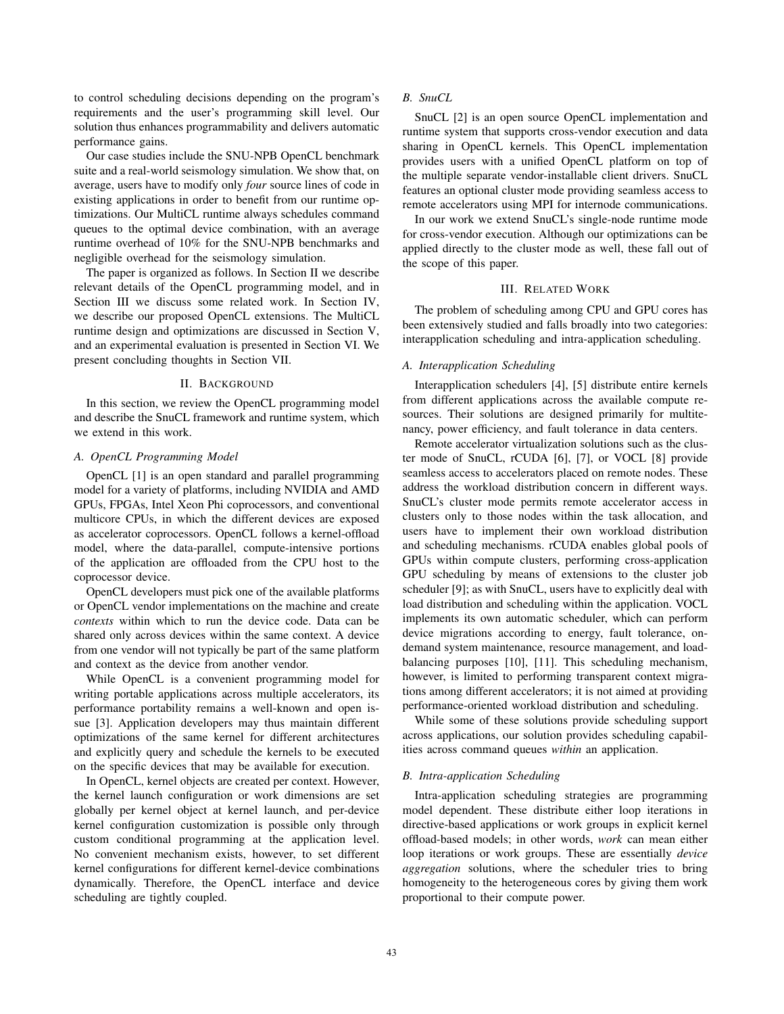to control scheduling decisions depending on the program's requirements and the user's programming skill level. Our solution thus enhances programmability and delivers automatic performance gains.

Our case studies include the SNU-NPB OpenCL benchmark suite and a real-world seismology simulation. We show that, on average, users have to modify only *four* source lines of code in existing applications in order to benefit from our runtime optimizations. Our MultiCL runtime always schedules command queues to the optimal device combination, with an average runtime overhead of 10% for the SNU-NPB benchmarks and negligible overhead for the seismology simulation.

The paper is organized as follows. In Section II we describe relevant details of the OpenCL programming model, and in Section III we discuss some related work. In Section IV, we describe our proposed OpenCL extensions. The MultiCL runtime design and optimizations are discussed in Section V, and an experimental evaluation is presented in Section VI. We present concluding thoughts in Section VII.

#### II. BACKGROUND

In this section, we review the OpenCL programming model and describe the SnuCL framework and runtime system, which we extend in this work.

### *A. OpenCL Programming Model*

OpenCL [1] is an open standard and parallel programming model for a variety of platforms, including NVIDIA and AMD GPUs, FPGAs, Intel Xeon Phi coprocessors, and conventional multicore CPUs, in which the different devices are exposed as accelerator coprocessors. OpenCL follows a kernel-offload model, where the data-parallel, compute-intensive portions of the application are offloaded from the CPU host to the coprocessor device.

OpenCL developers must pick one of the available platforms or OpenCL vendor implementations on the machine and create *contexts* within which to run the device code. Data can be shared only across devices within the same context. A device from one vendor will not typically be part of the same platform and context as the device from another vendor.

While OpenCL is a convenient programming model for writing portable applications across multiple accelerators, its performance portability remains a well-known and open issue [3]. Application developers may thus maintain different optimizations of the same kernel for different architectures and explicitly query and schedule the kernels to be executed on the specific devices that may be available for execution.

In OpenCL, kernel objects are created per context. However, the kernel launch configuration or work dimensions are set globally per kernel object at kernel launch, and per-device kernel configuration customization is possible only through custom conditional programming at the application level. No convenient mechanism exists, however, to set different kernel configurations for different kernel-device combinations dynamically. Therefore, the OpenCL interface and device scheduling are tightly coupled.

### *B. SnuCL*

SnuCL [2] is an open source OpenCL implementation and runtime system that supports cross-vendor execution and data sharing in OpenCL kernels. This OpenCL implementation provides users with a unified OpenCL platform on top of the multiple separate vendor-installable client drivers. SnuCL features an optional cluster mode providing seamless access to remote accelerators using MPI for internode communications.

In our work we extend SnuCL's single-node runtime mode for cross-vendor execution. Although our optimizations can be applied directly to the cluster mode as well, these fall out of the scope of this paper.

### III. RELATED WORK

The problem of scheduling among CPU and GPU cores has been extensively studied and falls broadly into two categories: interapplication scheduling and intra-application scheduling.

### *A. Interapplication Scheduling*

Interapplication schedulers [4], [5] distribute entire kernels from different applications across the available compute resources. Their solutions are designed primarily for multitenancy, power efficiency, and fault tolerance in data centers.

Remote accelerator virtualization solutions such as the cluster mode of SnuCL, rCUDA [6], [7], or VOCL [8] provide seamless access to accelerators placed on remote nodes. These address the workload distribution concern in different ways. SnuCL's cluster mode permits remote accelerator access in clusters only to those nodes within the task allocation, and users have to implement their own workload distribution and scheduling mechanisms. rCUDA enables global pools of GPUs within compute clusters, performing cross-application GPU scheduling by means of extensions to the cluster job scheduler [9]; as with SnuCL, users have to explicitly deal with load distribution and scheduling within the application. VOCL implements its own automatic scheduler, which can perform device migrations according to energy, fault tolerance, ondemand system maintenance, resource management, and loadbalancing purposes [10], [11]. This scheduling mechanism, however, is limited to performing transparent context migrations among different accelerators; it is not aimed at providing performance-oriented workload distribution and scheduling.

While some of these solutions provide scheduling support across applications, our solution provides scheduling capabilities across command queues *within* an application.

### *B. Intra-application Scheduling*

Intra-application scheduling strategies are programming model dependent. These distribute either loop iterations in directive-based applications or work groups in explicit kernel offload-based models; in other words, *work* can mean either loop iterations or work groups. These are essentially *device aggregation* solutions, where the scheduler tries to bring homogeneity to the heterogeneous cores by giving them work proportional to their compute power.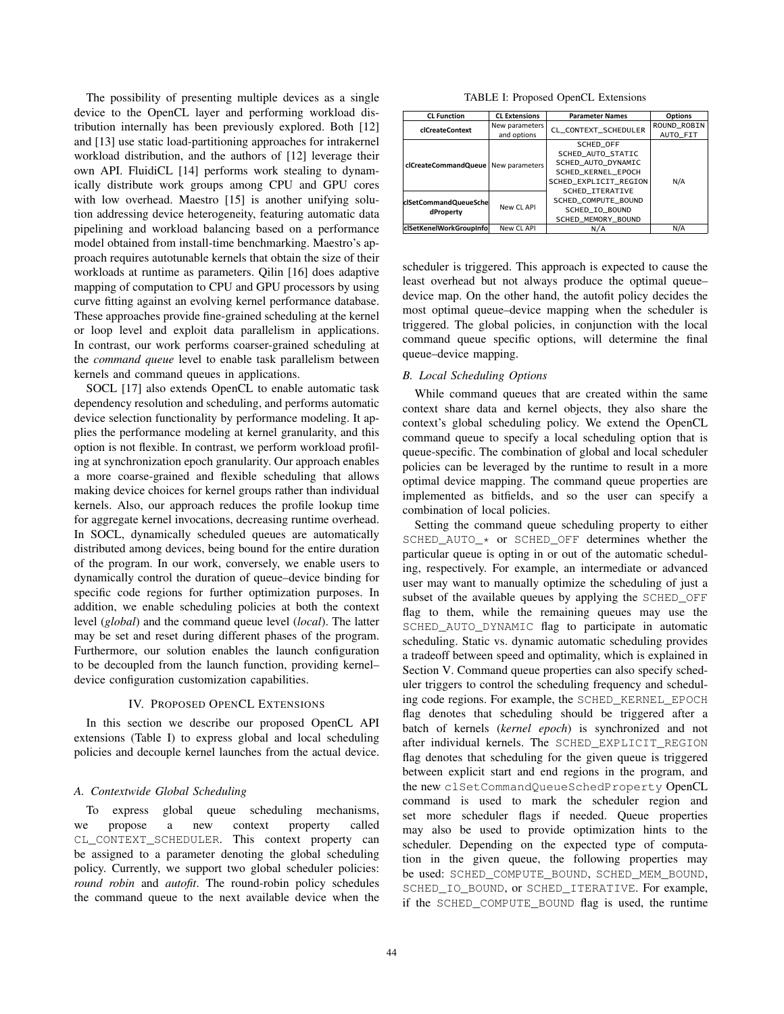The possibility of presenting multiple devices as a single device to the OpenCL layer and performing workload distribution internally has been previously explored. Both [12] and [13] use static load-partitioning approaches for intrakernel workload distribution, and the authors of [12] leverage their own API. FluidiCL [14] performs work stealing to dynamically distribute work groups among CPU and GPU cores with low overhead. Maestro [15] is another unifying solution addressing device heterogeneity, featuring automatic data pipelining and workload balancing based on a performance model obtained from install-time benchmarking. Maestro's approach requires autotunable kernels that obtain the size of their workloads at runtime as parameters. Qilin [16] does adaptive mapping of computation to CPU and GPU processors by using curve fitting against an evolving kernel performance database. These approaches provide fine-grained scheduling at the kernel or loop level and exploit data parallelism in applications. In contrast, our work performs coarser-grained scheduling at the *command queue* level to enable task parallelism between kernels and command queues in applications.

SOCL [17] also extends OpenCL to enable automatic task dependency resolution and scheduling, and performs automatic device selection functionality by performance modeling. It applies the performance modeling at kernel granularity, and this option is not flexible. In contrast, we perform workload profiling at synchronization epoch granularity. Our approach enables a more coarse-grained and flexible scheduling that allows making device choices for kernel groups rather than individual kernels. Also, our approach reduces the profile lookup time for aggregate kernel invocations, decreasing runtime overhead. In SOCL, dynamically scheduled queues are automatically distributed among devices, being bound for the entire duration of the program. In our work, conversely, we enable users to dynamically control the duration of queue–device binding for specific code regions for further optimization purposes. In addition, we enable scheduling policies at both the context level (*global*) and the command queue level (*local*). The latter may be set and reset during different phases of the program. Furthermore, our solution enables the launch configuration to be decoupled from the launch function, providing kernel– device configuration customization capabilities.

### IV. PROPOSED OPENCL EXTENSIONS

In this section we describe our proposed OpenCL API extensions (Table I) to express global and local scheduling policies and decouple kernel launches from the actual device.

### *A. Contextwide Global Scheduling*

To express global queue scheduling mechanisms, we propose a new context property called CL\_CONTEXT\_SCHEDULER. This context property can be assigned to a parameter denoting the global scheduling policy. Currently, we support two global scheduler policies: *round robin* and *autofit*. The round-robin policy schedules the command queue to the next available device when the

| TABLE I: Proposed OpenCL Extensions |  |  |  |
|-------------------------------------|--|--|--|
|-------------------------------------|--|--|--|

| <b>CL Function</b>                                                                 | <b>CL Extensions</b> | <b>Parameter Names</b>     | <b>Options</b> |  |
|------------------------------------------------------------------------------------|----------------------|----------------------------|----------------|--|
| clCreateContext                                                                    | New parameters       | CL_CONTEXT_SCHEDULER       | ROUND ROBIN    |  |
|                                                                                    | and options          |                            | AUTO FIT       |  |
| <b>clCreateCommandQueue</b>   New parameters<br>clSetCommandQueueSche<br>dProperty | New CL API           | SCHED OFF                  |                |  |
|                                                                                    |                      | SCHED AUTO STATIC          |                |  |
|                                                                                    |                      | SCHED AUTO DYNAMIC         |                |  |
|                                                                                    |                      | <b>SCHED KERNEL EPOCH</b>  |                |  |
|                                                                                    |                      | SCHED EXPLICIT REGION      | N/A            |  |
|                                                                                    |                      | <b>SCHED ITERATIVE</b>     |                |  |
|                                                                                    |                      | <b>SCHED COMPUTE BOUND</b> |                |  |
|                                                                                    |                      | SCHED IO BOUND             |                |  |
|                                                                                    |                      | SCHED_MEMORY_BOUND         |                |  |
| clSetKenelWorkGroupInfo                                                            | New CL API           | N/A                        | N/A            |  |

scheduler is triggered. This approach is expected to cause the least overhead but not always produce the optimal queue– device map. On the other hand, the autofit policy decides the most optimal queue–device mapping when the scheduler is triggered. The global policies, in conjunction with the local command queue specific options, will determine the final queue–device mapping.

### *B. Local Scheduling Options*

While command queues that are created within the same context share data and kernel objects, they also share the context's global scheduling policy. We extend the OpenCL command queue to specify a local scheduling option that is queue-specific. The combination of global and local scheduler policies can be leveraged by the runtime to result in a more optimal device mapping. The command queue properties are implemented as bitfields, and so the user can specify a combination of local policies.

Setting the command queue scheduling property to either SCHED\_AUTO\_\* or SCHED\_OFF determines whether the particular queue is opting in or out of the automatic scheduling, respectively. For example, an intermediate or advanced user may want to manually optimize the scheduling of just a subset of the available queues by applying the SCHED\_OFF flag to them, while the remaining queues may use the SCHED\_AUTO\_DYNAMIC flag to participate in automatic scheduling. Static vs. dynamic automatic scheduling provides a tradeoff between speed and optimality, which is explained in Section V. Command queue properties can also specify scheduler triggers to control the scheduling frequency and scheduling code regions. For example, the SCHED\_KERNEL\_EPOCH flag denotes that scheduling should be triggered after a batch of kernels (*kernel epoch*) is synchronized and not after individual kernels. The SCHED\_EXPLICIT\_REGION flag denotes that scheduling for the given queue is triggered between explicit start and end regions in the program, and the new clSetCommandQueueSchedProperty OpenCL command is used to mark the scheduler region and set more scheduler flags if needed. Queue properties may also be used to provide optimization hints to the scheduler. Depending on the expected type of computation in the given queue, the following properties may be used: SCHED\_COMPUTE\_BOUND, SCHED\_MEM\_BOUND, SCHED\_IO\_BOUND, or SCHED\_ITERATIVE. For example, if the SCHED\_COMPUTE\_BOUND flag is used, the runtime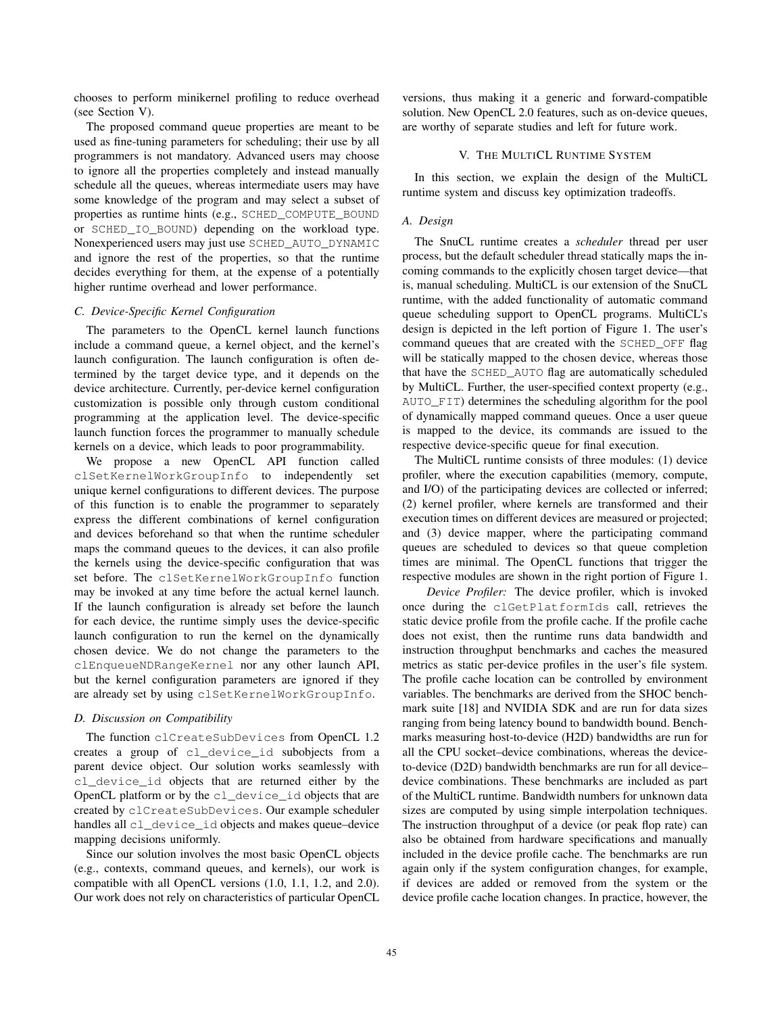chooses to perform minikernel profiling to reduce overhead (see Section V).

The proposed command queue properties are meant to be used as fine-tuning parameters for scheduling; their use by all programmers is not mandatory. Advanced users may choose to ignore all the properties completely and instead manually schedule all the queues, whereas intermediate users may have some knowledge of the program and may select a subset of properties as runtime hints (e.g., SCHED\_COMPUTE\_BOUND or SCHED\_IO\_BOUND) depending on the workload type. Nonexperienced users may just use SCHED\_AUTO\_DYNAMIC and ignore the rest of the properties, so that the runtime decides everything for them, at the expense of a potentially higher runtime overhead and lower performance.

### *C. Device-Specific Kernel Configuration*

The parameters to the OpenCL kernel launch functions include a command queue, a kernel object, and the kernel's launch configuration. The launch configuration is often determined by the target device type, and it depends on the device architecture. Currently, per-device kernel configuration customization is possible only through custom conditional programming at the application level. The device-specific launch function forces the programmer to manually schedule kernels on a device, which leads to poor programmability.

We propose a new OpenCL API function called clSetKernelWorkGroupInfo to independently set unique kernel configurations to different devices. The purpose of this function is to enable the programmer to separately express the different combinations of kernel configuration and devices beforehand so that when the runtime scheduler maps the command queues to the devices, it can also profile the kernels using the device-specific configuration that was set before. The clSetKernelWorkGroupInfo function may be invoked at any time before the actual kernel launch. If the launch configuration is already set before the launch for each device, the runtime simply uses the device-specific launch configuration to run the kernel on the dynamically chosen device. We do not change the parameters to the clEnqueueNDRangeKernel nor any other launch API, but the kernel configuration parameters are ignored if they are already set by using clSetKernelWorkGroupInfo.

#### *D. Discussion on Compatibility*

The function clCreateSubDevices from OpenCL 1.2 creates a group of cl\_device\_id subobjects from a parent device object. Our solution works seamlessly with cl\_device\_id objects that are returned either by the OpenCL platform or by the cl\_device\_id objects that are created by clCreateSubDevices. Our example scheduler handles all cl\_device\_id objects and makes queue–device mapping decisions uniformly.

Since our solution involves the most basic OpenCL objects (e.g., contexts, command queues, and kernels), our work is compatible with all OpenCL versions (1.0, 1.1, 1.2, and 2.0). Our work does not rely on characteristics of particular OpenCL versions, thus making it a generic and forward-compatible solution. New OpenCL 2.0 features, such as on-device queues, are worthy of separate studies and left for future work.

### V. THE MULTICL RUNTIME SYSTEM

In this section, we explain the design of the MultiCL runtime system and discuss key optimization tradeoffs.

### *A. Design*

The SnuCL runtime creates a *scheduler* thread per user process, but the default scheduler thread statically maps the incoming commands to the explicitly chosen target device—that is, manual scheduling. MultiCL is our extension of the SnuCL runtime, with the added functionality of automatic command queue scheduling support to OpenCL programs. MultiCL's design is depicted in the left portion of Figure 1. The user's command queues that are created with the SCHED\_OFF flag will be statically mapped to the chosen device, whereas those that have the SCHED\_AUTO flag are automatically scheduled by MultiCL. Further, the user-specified context property (e.g., AUTO\_FIT) determines the scheduling algorithm for the pool of dynamically mapped command queues. Once a user queue is mapped to the device, its commands are issued to the respective device-specific queue for final execution.

The MultiCL runtime consists of three modules: (1) device profiler, where the execution capabilities (memory, compute, and I/O) of the participating devices are collected or inferred; (2) kernel profiler, where kernels are transformed and their execution times on different devices are measured or projected; and (3) device mapper, where the participating command queues are scheduled to devices so that queue completion times are minimal. The OpenCL functions that trigger the respective modules are shown in the right portion of Figure 1.

*Device Profiler:* The device profiler, which is invoked once during the clGetPlatformIds call, retrieves the static device profile from the profile cache. If the profile cache does not exist, then the runtime runs data bandwidth and instruction throughput benchmarks and caches the measured metrics as static per-device profiles in the user's file system. The profile cache location can be controlled by environment variables. The benchmarks are derived from the SHOC benchmark suite [18] and NVIDIA SDK and are run for data sizes ranging from being latency bound to bandwidth bound. Benchmarks measuring host-to-device (H2D) bandwidths are run for all the CPU socket–device combinations, whereas the deviceto-device (D2D) bandwidth benchmarks are run for all device– device combinations. These benchmarks are included as part of the MultiCL runtime. Bandwidth numbers for unknown data sizes are computed by using simple interpolation techniques. The instruction throughput of a device (or peak flop rate) can also be obtained from hardware specifications and manually included in the device profile cache. The benchmarks are run again only if the system configuration changes, for example, if devices are added or removed from the system or the device profile cache location changes. In practice, however, the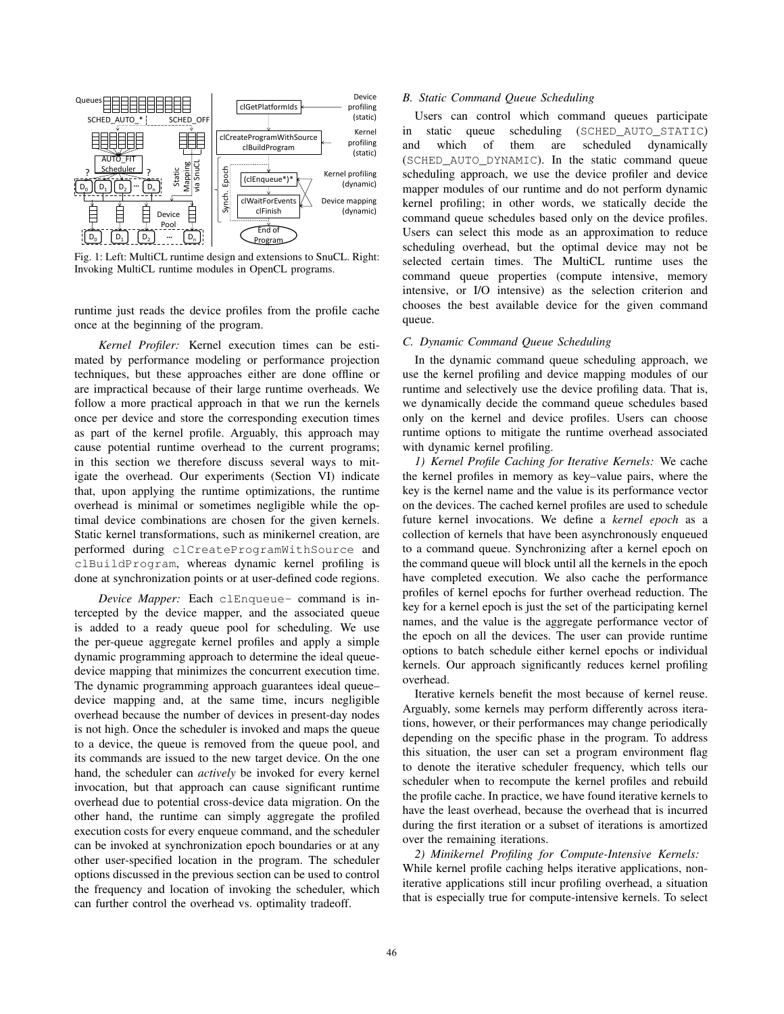

Fig. 1: Left: MultiCL runtime design and extensions to SnuCL. Right: Invoking MultiCL runtime modules in OpenCL programs.

runtime just reads the device profiles from the profile cache once at the beginning of the program.

*Kernel Profiler:* Kernel execution times can be estimated by performance modeling or performance projection techniques, but these approaches either are done offline or are impractical because of their large runtime overheads. We follow a more practical approach in that we run the kernels once per device and store the corresponding execution times as part of the kernel profile. Arguably, this approach may cause potential runtime overhead to the current programs; in this section we therefore discuss several ways to mitigate the overhead. Our experiments (Section VI) indicate that, upon applying the runtime optimizations, the runtime overhead is minimal or sometimes negligible while the optimal device combinations are chosen for the given kernels. Static kernel transformations, such as minikernel creation, are performed during clCreateProgramWithSource and clBuildProgram, whereas dynamic kernel profiling is done at synchronization points or at user-defined code regions.

*Device Mapper:* Each clEnqueue- command is intercepted by the device mapper, and the associated queue is added to a ready queue pool for scheduling. We use the per-queue aggregate kernel profiles and apply a simple dynamic programming approach to determine the ideal queuedevice mapping that minimizes the concurrent execution time. The dynamic programming approach guarantees ideal queue– device mapping and, at the same time, incurs negligible overhead because the number of devices in present-day nodes is not high. Once the scheduler is invoked and maps the queue to a device, the queue is removed from the queue pool, and its commands are issued to the new target device. On the one hand, the scheduler can *actively* be invoked for every kernel invocation, but that approach can cause significant runtime overhead due to potential cross-device data migration. On the other hand, the runtime can simply aggregate the profiled execution costs for every enqueue command, and the scheduler can be invoked at synchronization epoch boundaries or at any other user-specified location in the program. The scheduler options discussed in the previous section can be used to control the frequency and location of invoking the scheduler, which can further control the overhead vs. optimality tradeoff.

## *B. Static Command Queue Scheduling*

Users can control which command queues participate in static queue scheduling (SCHED\_AUTO\_STATIC) and which of them are scheduled dynamically (SCHED\_AUTO\_DYNAMIC). In the static command queue scheduling approach, we use the device profiler and device mapper modules of our runtime and do not perform dynamic kernel profiling; in other words, we statically decide the command queue schedules based only on the device profiles. Users can select this mode as an approximation to reduce scheduling overhead, but the optimal device may not be selected certain times. The MultiCL runtime uses the command queue properties (compute intensive, memory intensive, or I/O intensive) as the selection criterion and chooses the best available device for the given command queue.

### *C. Dynamic Command Queue Scheduling*

In the dynamic command queue scheduling approach, we use the kernel profiling and device mapping modules of our runtime and selectively use the device profiling data. That is, we dynamically decide the command queue schedules based only on the kernel and device profiles. Users can choose runtime options to mitigate the runtime overhead associated with dynamic kernel profiling.

*1) Kernel Profile Caching for Iterative Kernels:* We cache the kernel profiles in memory as key–value pairs, where the key is the kernel name and the value is its performance vector on the devices. The cached kernel profiles are used to schedule future kernel invocations. We define a *kernel epoch* as a collection of kernels that have been asynchronously enqueued to a command queue. Synchronizing after a kernel epoch on the command queue will block until all the kernels in the epoch have completed execution. We also cache the performance profiles of kernel epochs for further overhead reduction. The key for a kernel epoch is just the set of the participating kernel names, and the value is the aggregate performance vector of the epoch on all the devices. The user can provide runtime options to batch schedule either kernel epochs or individual kernels. Our approach significantly reduces kernel profiling overhead.

Iterative kernels benefit the most because of kernel reuse. Arguably, some kernels may perform differently across iterations, however, or their performances may change periodically depending on the specific phase in the program. To address this situation, the user can set a program environment flag to denote the iterative scheduler frequency, which tells our scheduler when to recompute the kernel profiles and rebuild the profile cache. In practice, we have found iterative kernels to have the least overhead, because the overhead that is incurred during the first iteration or a subset of iterations is amortized over the remaining iterations.

*2) Minikernel Profiling for Compute-Intensive Kernels:* While kernel profile caching helps iterative applications, noniterative applications still incur profiling overhead, a situation that is especially true for compute-intensive kernels. To select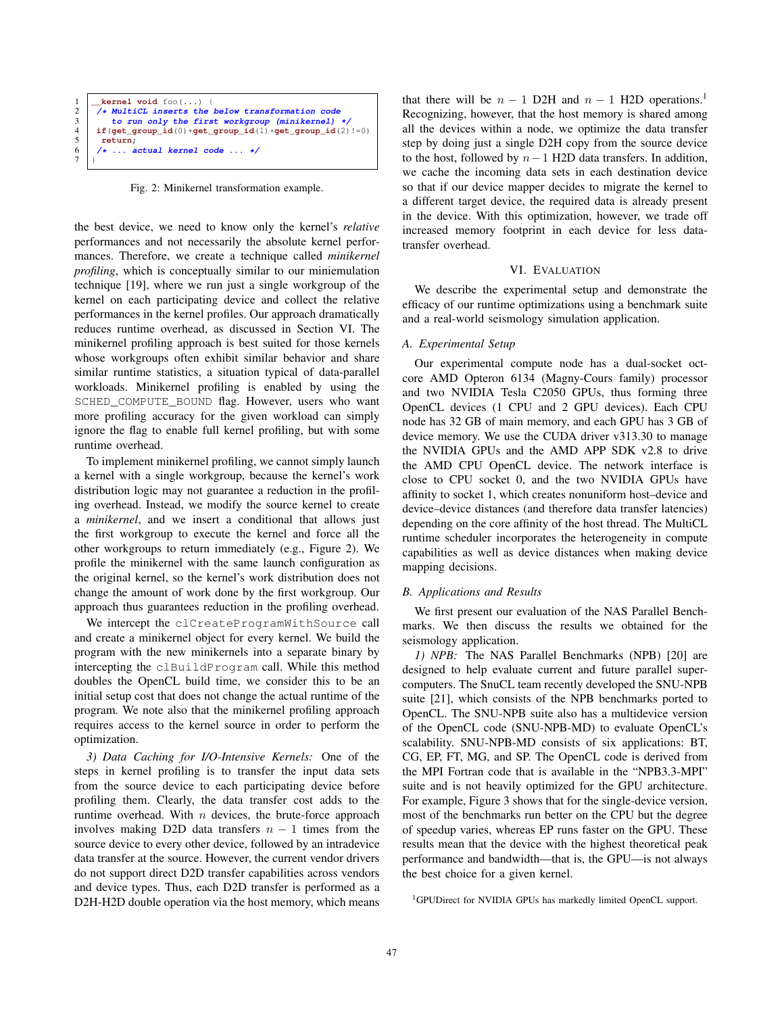```
1 Lernel void f \circ \circ (\dots) {<br>2 /* MultiCL inserts the
2 /* MultiCL inserts the below transformation code
3 to run only the first workgroup (minikernel) */
4 if(get_group_id(0)+get_group_id(1)+get_group_id(2)!=0)
\begin{array}{c|c} 5 & \text{return;} \\ 6 & \end{array}6 /* ... actual kernel code ... */
7 }
```
Fig. 2: Minikernel transformation example.

the best device, we need to know only the kernel's *relative* performances and not necessarily the absolute kernel performances. Therefore, we create a technique called *minikernel profiling*, which is conceptually similar to our miniemulation technique [19], where we run just a single workgroup of the kernel on each participating device and collect the relative performances in the kernel profiles. Our approach dramatically reduces runtime overhead, as discussed in Section VI. The minikernel profiling approach is best suited for those kernels whose workgroups often exhibit similar behavior and share similar runtime statistics, a situation typical of data-parallel workloads. Minikernel profiling is enabled by using the SCHED\_COMPUTE\_BOUND flag. However, users who want more profiling accuracy for the given workload can simply ignore the flag to enable full kernel profiling, but with some runtime overhead.

To implement minikernel profiling, we cannot simply launch a kernel with a single workgroup, because the kernel's work distribution logic may not guarantee a reduction in the profiling overhead. Instead, we modify the source kernel to create a *minikernel*, and we insert a conditional that allows just the first workgroup to execute the kernel and force all the other workgroups to return immediately (e.g., Figure 2). We profile the minikernel with the same launch configuration as the original kernel, so the kernel's work distribution does not change the amount of work done by the first workgroup. Our approach thus guarantees reduction in the profiling overhead.

We intercept the clCreateProgramWithSource call and create a minikernel object for every kernel. We build the program with the new minikernels into a separate binary by intercepting the clBuildProgram call. While this method doubles the OpenCL build time, we consider this to be an initial setup cost that does not change the actual runtime of the program. We note also that the minikernel profiling approach requires access to the kernel source in order to perform the optimization.

*3) Data Caching for I/O-Intensive Kernels:* One of the steps in kernel profiling is to transfer the input data sets from the source device to each participating device before profiling them. Clearly, the data transfer cost adds to the runtime overhead. With  $n$  devices, the brute-force approach involves making D2D data transfers  $n - 1$  times from the source device to every other device, followed by an intradevice data transfer at the source. However, the current vendor drivers do not support direct D2D transfer capabilities across vendors and device types. Thus, each D2D transfer is performed as a D2H-H2D double operation via the host memory, which means that there will be  $n - 1$  D2H and  $n - 1$  H2D operations.<sup>1</sup> Recognizing, however, that the host memory is shared among all the devices within a node, we optimize the data transfer step by doing just a single D2H copy from the source device to the host, followed by  $n-1$  H2D data transfers. In addition, we cache the incoming data sets in each destination device so that if our device mapper decides to migrate the kernel to a different target device, the required data is already present in the device. With this optimization, however, we trade off increased memory footprint in each device for less datatransfer overhead.

### VI. EVALUATION

We describe the experimental setup and demonstrate the efficacy of our runtime optimizations using a benchmark suite and a real-world seismology simulation application.

## *A. Experimental Setup*

Our experimental compute node has a dual-socket octcore AMD Opteron 6134 (Magny-Cours family) processor and two NVIDIA Tesla C2050 GPUs, thus forming three OpenCL devices (1 CPU and 2 GPU devices). Each CPU node has 32 GB of main memory, and each GPU has 3 GB of device memory. We use the CUDA driver v313.30 to manage the NVIDIA GPUs and the AMD APP SDK v2.8 to drive the AMD CPU OpenCL device. The network interface is close to CPU socket 0, and the two NVIDIA GPUs have affinity to socket 1, which creates nonuniform host–device and device–device distances (and therefore data transfer latencies) depending on the core affinity of the host thread. The MultiCL runtime scheduler incorporates the heterogeneity in compute capabilities as well as device distances when making device mapping decisions.

### *B. Applications and Results*

We first present our evaluation of the NAS Parallel Benchmarks. We then discuss the results we obtained for the seismology application.

*1) NPB:* The NAS Parallel Benchmarks (NPB) [20] are designed to help evaluate current and future parallel supercomputers. The SnuCL team recently developed the SNU-NPB suite [21], which consists of the NPB benchmarks ported to OpenCL. The SNU-NPB suite also has a multidevice version of the OpenCL code (SNU-NPB-MD) to evaluate OpenCL's scalability. SNU-NPB-MD consists of six applications: BT, CG, EP, FT, MG, and SP. The OpenCL code is derived from the MPI Fortran code that is available in the "NPB3.3-MPI" suite and is not heavily optimized for the GPU architecture. For example, Figure 3 shows that for the single-device version, most of the benchmarks run better on the CPU but the degree of speedup varies, whereas EP runs faster on the GPU. These results mean that the device with the highest theoretical peak performance and bandwidth—that is, the GPU—is not always the best choice for a given kernel.

<sup>1</sup>GPUDirect for NVIDIA GPUs has markedly limited OpenCL support.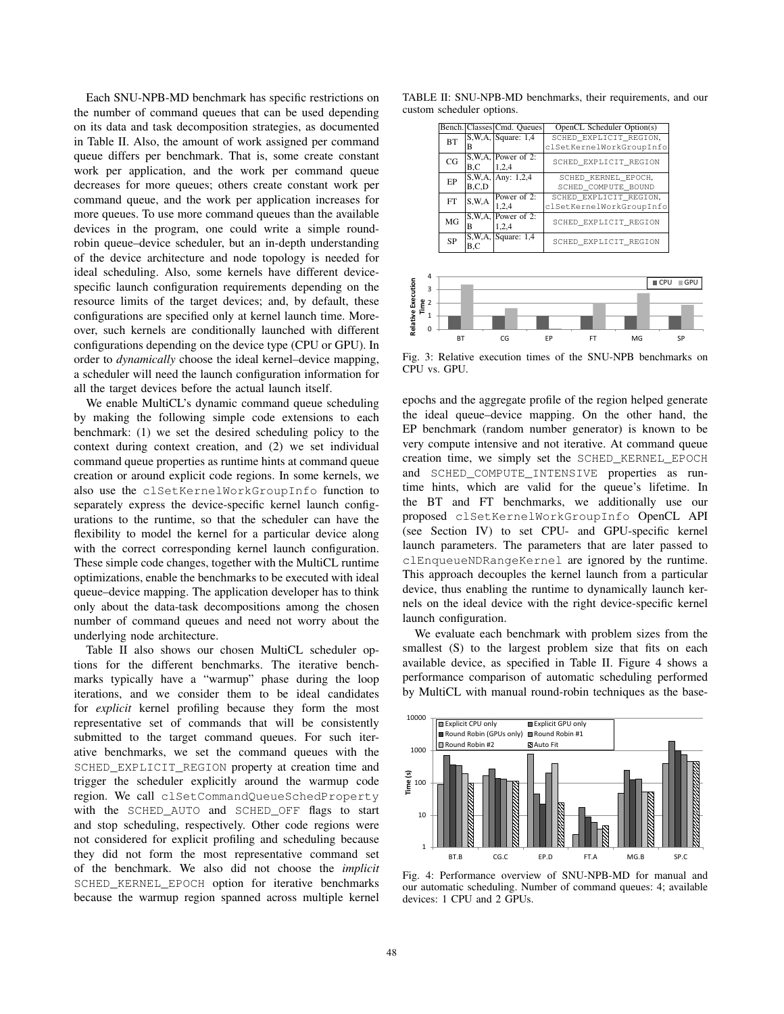Each SNU-NPB-MD benchmark has specific restrictions on the number of command queues that can be used depending on its data and task decomposition strategies, as documented in Table II. Also, the amount of work assigned per command queue differs per benchmark. That is, some create constant work per application, and the work per command queue decreases for more queues; others create constant work per command queue, and the work per application increases for more queues. To use more command queues than the available devices in the program, one could write a simple roundrobin queue–device scheduler, but an in-depth understanding of the device architecture and node topology is needed for ideal scheduling. Also, some kernels have different devicespecific launch configuration requirements depending on the resource limits of the target devices; and, by default, these configurations are specified only at kernel launch time. Moreover, such kernels are conditionally launched with different configurations depending on the device type (CPU or GPU). In order to *dynamically* choose the ideal kernel–device mapping, a scheduler will need the launch configuration information for all the target devices before the actual launch itself.

We enable MultiCL's dynamic command queue scheduling by making the following simple code extensions to each benchmark: (1) we set the desired scheduling policy to the context during context creation, and (2) we set individual command queue properties as runtime hints at command queue creation or around explicit code regions. In some kernels, we also use the clSetKernelWorkGroupInfo function to separately express the device-specific kernel launch configurations to the runtime, so that the scheduler can have the flexibility to model the kernel for a particular device along with the correct corresponding kernel launch configuration. These simple code changes, together with the MultiCL runtime optimizations, enable the benchmarks to be executed with ideal queue–device mapping. The application developer has to think only about the data-task decompositions among the chosen number of command queues and need not worry about the underlying node architecture.

Table II also shows our chosen MultiCL scheduler options for the different benchmarks. The iterative benchmarks typically have a "warmup" phase during the loop iterations, and we consider them to be ideal candidates for *explicit* kernel profiling because they form the most representative set of commands that will be consistently submitted to the target command queues. For such iterative benchmarks, we set the command queues with the SCHED\_EXPLICIT\_REGION property at creation time and trigger the scheduler explicitly around the warmup code region. We call clSetCommandQueueSchedProperty with the SCHED\_AUTO and SCHED\_OFF flags to start and stop scheduling, respectively. Other code regions were not considered for explicit profiling and scheduling because they did not form the most representative command set of the benchmark. We also did not choose the *implicit* SCHED\_KERNEL\_EPOCH option for iterative benchmarks because the warmup region spanned across multiple kernel

TABLE II: SNU-NPB-MD benchmarks, their requirements, and our custom scheduler options.

|                       |               | Bench. Classes Cmd. Queues | OpenCL Scheduler Option(s) |  |
|-----------------------|---------------|----------------------------|----------------------------|--|
| <b>BT</b>             |               | $S.W.A.$ Square: 1,4       | SCHED EXPLICIT REGION,     |  |
|                       | в             |                            | clSetKernelWorkGroupInfo   |  |
| CG                    |               | S, W, A, Power of 2:       | SCHED EXPLICIT REGION      |  |
|                       | B.C           | 1.2.4                      |                            |  |
| S.W.A.<br>EP<br>B.C.D |               | Any: $1,2.4$               | SCHED KERNEL EPOCH,        |  |
|                       |               | SCHED COMPUTE BOUND        |                            |  |
| FT                    | S.W.A         | Power of 2:                | SCHED EXPLICIT REGION,     |  |
|                       |               | 1.2.4                      | clSetKernelWorkGroupInfo   |  |
| MG                    | S.W.A.<br>в   | Power of 2:<br>1.2.4       | SCHED EXPLICIT REGION      |  |
| <b>SP</b>             | S.W.A.<br>B.C | Square: 1,4                | SCHED EXPLICIT REGION      |  |



Fig. 3: Relative execution times of the SNU-NPB benchmarks on CPU vs. GPU.

epochs and the aggregate profile of the region helped generate the ideal queue–device mapping. On the other hand, the EP benchmark (random number generator) is known to be very compute intensive and not iterative. At command queue creation time, we simply set the SCHED\_KERNEL\_EPOCH and SCHED\_COMPUTE\_INTENSIVE properties as runtime hints, which are valid for the queue's lifetime. In the BT and FT benchmarks, we additionally use our proposed clSetKernelWorkGroupInfo OpenCL API (see Section IV) to set CPU- and GPU-specific kernel launch parameters. The parameters that are later passed to clEnqueueNDRangeKernel are ignored by the runtime. This approach decouples the kernel launch from a particular device, thus enabling the runtime to dynamically launch kernels on the ideal device with the right device-specific kernel launch configuration.

We evaluate each benchmark with problem sizes from the smallest (S) to the largest problem size that fits on each available device, as specified in Table II. Figure 4 shows a performance comparison of automatic scheduling performed by MultiCL with manual round-robin techniques as the base-



Fig. 4: Performance overview of SNU-NPB-MD for manual and our automatic scheduling. Number of command queues: 4; available devices: 1 CPU and 2 GPUs.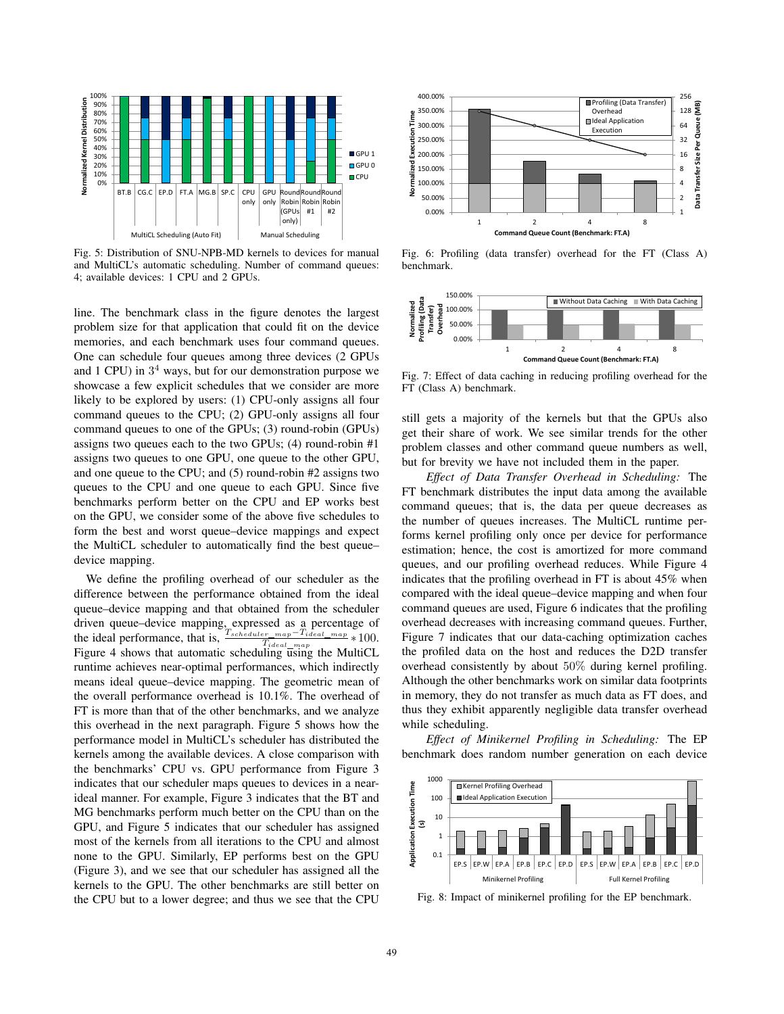

Fig. 5: Distribution of SNU-NPB-MD kernels to devices for manual and MultiCL's automatic scheduling. Number of command queues: 4; available devices: 1 CPU and 2 GPUs.

line. The benchmark class in the figure denotes the largest problem size for that application that could fit on the device memories, and each benchmark uses four command queues. One can schedule four queues among three devices (2 GPUs and 1 CPU) in  $3<sup>4</sup>$  ways, but for our demonstration purpose we showcase a few explicit schedules that we consider are more likely to be explored by users: (1) CPU-only assigns all four command queues to the CPU; (2) GPU-only assigns all four command queues to one of the GPUs; (3) round-robin (GPUs) assigns two queues each to the two GPUs; (4) round-robin #1 assigns two queues to one GPU, one queue to the other GPU, and one queue to the CPU; and (5) round-robin #2 assigns two queues to the CPU and one queue to each GPU. Since five benchmarks perform better on the CPU and EP works best on the GPU, we consider some of the above five schedules to form the best and worst queue–device mappings and expect the MultiCL scheduler to automatically find the best queue– device mapping.

We define the profiling overhead of our scheduler as the difference between the performance obtained from the ideal queue–device mapping and that obtained from the scheduler driven queue–device mapping, expressed as a percentage of the ideal performance, that is,  $\frac{T_{scheduled} - map - T_{ideal\_map}}{T_{ideal\_map}} * 100$ . Figure 4 shows that automatic scheduling using the MultiCL runtime achieves near-optimal performances, which indirectly means ideal queue–device mapping. The geometric mean of the overall performance overhead is 10.1%. The overhead of FT is more than that of the other benchmarks, and we analyze this overhead in the next paragraph. Figure 5 shows how the performance model in MultiCL's scheduler has distributed the kernels among the available devices. A close comparison with the benchmarks' CPU vs. GPU performance from Figure 3 indicates that our scheduler maps queues to devices in a nearideal manner. For example, Figure 3 indicates that the BT and MG benchmarks perform much better on the CPU than on the GPU, and Figure 5 indicates that our scheduler has assigned most of the kernels from all iterations to the CPU and almost none to the GPU. Similarly, EP performs best on the GPU (Figure 3), and we see that our scheduler has assigned all the kernels to the GPU. The other benchmarks are still better on the CPU but to a lower degree; and thus we see that the CPU



Fig. 6: Profiling (data transfer) overhead for the FT (Class A) benchmark.



Fig. 7: Effect of data caching in reducing profiling overhead for the FT (Class A) benchmark.

still gets a majority of the kernels but that the GPUs also get their share of work. We see similar trends for the other problem classes and other command queue numbers as well, but for brevity we have not included them in the paper.

*Effect of Data Transfer Overhead in Scheduling:* The FT benchmark distributes the input data among the available command queues; that is, the data per queue decreases as the number of queues increases. The MultiCL runtime performs kernel profiling only once per device for performance estimation; hence, the cost is amortized for more command queues, and our profiling overhead reduces. While Figure 4 indicates that the profiling overhead in FT is about 45% when compared with the ideal queue–device mapping and when four command queues are used, Figure 6 indicates that the profiling overhead decreases with increasing command queues. Further, Figure 7 indicates that our data-caching optimization caches the profiled data on the host and reduces the D2D transfer overhead consistently by about 50% during kernel profiling. Although the other benchmarks work on similar data footprints in memory, they do not transfer as much data as FT does, and thus they exhibit apparently negligible data transfer overhead while scheduling.

*Effect of Minikernel Profiling in Scheduling:* The EP benchmark does random number generation on each device



Fig. 8: Impact of minikernel profiling for the EP benchmark.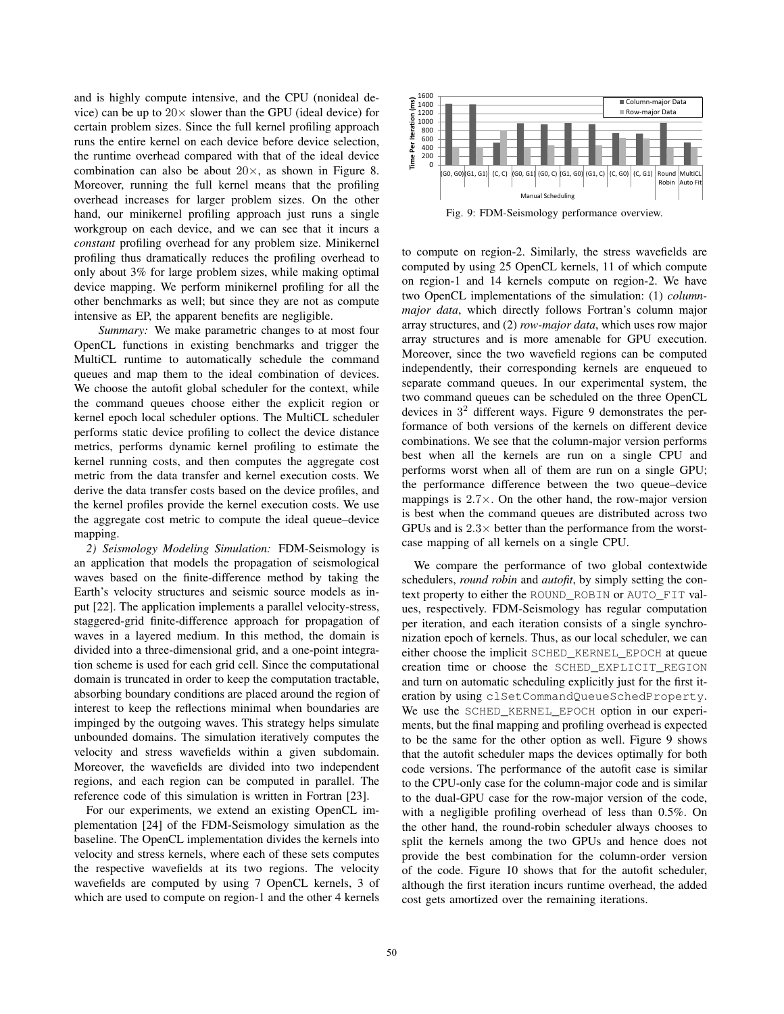and is highly compute intensive, and the CPU (nonideal device) can be up to  $20 \times$  slower than the GPU (ideal device) for certain problem sizes. Since the full kernel profiling approach runs the entire kernel on each device before device selection, the runtime overhead compared with that of the ideal device combination can also be about  $20\times$ , as shown in Figure 8. Moreover, running the full kernel means that the profiling overhead increases for larger problem sizes. On the other hand, our minikernel profiling approach just runs a single workgroup on each device, and we can see that it incurs a *constant* profiling overhead for any problem size. Minikernel profiling thus dramatically reduces the profiling overhead to only about 3% for large problem sizes, while making optimal device mapping. We perform minikernel profiling for all the other benchmarks as well; but since they are not as compute intensive as EP, the apparent benefits are negligible.

*Summary:* We make parametric changes to at most four OpenCL functions in existing benchmarks and trigger the MultiCL runtime to automatically schedule the command queues and map them to the ideal combination of devices. We choose the autofit global scheduler for the context, while the command queues choose either the explicit region or kernel epoch local scheduler options. The MultiCL scheduler performs static device profiling to collect the device distance metrics, performs dynamic kernel profiling to estimate the kernel running costs, and then computes the aggregate cost metric from the data transfer and kernel execution costs. We derive the data transfer costs based on the device profiles, and the kernel profiles provide the kernel execution costs. We use the aggregate cost metric to compute the ideal queue–device mapping.

*2) Seismology Modeling Simulation:* FDM-Seismology is an application that models the propagation of seismological waves based on the finite-difference method by taking the Earth's velocity structures and seismic source models as input [22]. The application implements a parallel velocity-stress, staggered-grid finite-difference approach for propagation of waves in a layered medium. In this method, the domain is divided into a three-dimensional grid, and a one-point integration scheme is used for each grid cell. Since the computational domain is truncated in order to keep the computation tractable, absorbing boundary conditions are placed around the region of interest to keep the reflections minimal when boundaries are impinged by the outgoing waves. This strategy helps simulate unbounded domains. The simulation iteratively computes the velocity and stress wavefields within a given subdomain. Moreover, the wavefields are divided into two independent regions, and each region can be computed in parallel. The reference code of this simulation is written in Fortran [23].

For our experiments, we extend an existing OpenCL implementation [24] of the FDM-Seismology simulation as the baseline. The OpenCL implementation divides the kernels into velocity and stress kernels, where each of these sets computes the respective wavefields at its two regions. The velocity wavefields are computed by using 7 OpenCL kernels, 3 of which are used to compute on region-1 and the other 4 kernels



Fig. 9: FDM-Seismology performance overview.

to compute on region-2. Similarly, the stress wavefields are computed by using 25 OpenCL kernels, 11 of which compute on region-1 and 14 kernels compute on region-2. We have two OpenCL implementations of the simulation: (1) *columnmajor data*, which directly follows Fortran's column major array structures, and (2) *row-major data*, which uses row major array structures and is more amenable for GPU execution. Moreover, since the two wavefield regions can be computed independently, their corresponding kernels are enqueued to separate command queues. In our experimental system, the two command queues can be scheduled on the three OpenCL devices in  $3<sup>2</sup>$  different ways. Figure 9 demonstrates the performance of both versions of the kernels on different device combinations. We see that the column-major version performs best when all the kernels are run on a single CPU and performs worst when all of them are run on a single GPU; the performance difference between the two queue–device mappings is  $2.7 \times$ . On the other hand, the row-major version is best when the command queues are distributed across two GPUs and is  $2.3\times$  better than the performance from the worstcase mapping of all kernels on a single CPU.

We compare the performance of two global contextwide schedulers, *round robin* and *autofit*, by simply setting the context property to either the ROUND\_ROBIN or AUTO\_FIT values, respectively. FDM-Seismology has regular computation per iteration, and each iteration consists of a single synchronization epoch of kernels. Thus, as our local scheduler, we can either choose the implicit SCHED\_KERNEL\_EPOCH at queue creation time or choose the SCHED\_EXPLICIT\_REGION and turn on automatic scheduling explicitly just for the first iteration by using clSetCommandQueueSchedProperty. We use the SCHED\_KERNEL\_EPOCH option in our experiments, but the final mapping and profiling overhead is expected to be the same for the other option as well. Figure 9 shows that the autofit scheduler maps the devices optimally for both code versions. The performance of the autofit case is similar to the CPU-only case for the column-major code and is similar to the dual-GPU case for the row-major version of the code, with a negligible profiling overhead of less than 0.5%. On the other hand, the round-robin scheduler always chooses to split the kernels among the two GPUs and hence does not provide the best combination for the column-order version of the code. Figure 10 shows that for the autofit scheduler, although the first iteration incurs runtime overhead, the added cost gets amortized over the remaining iterations.